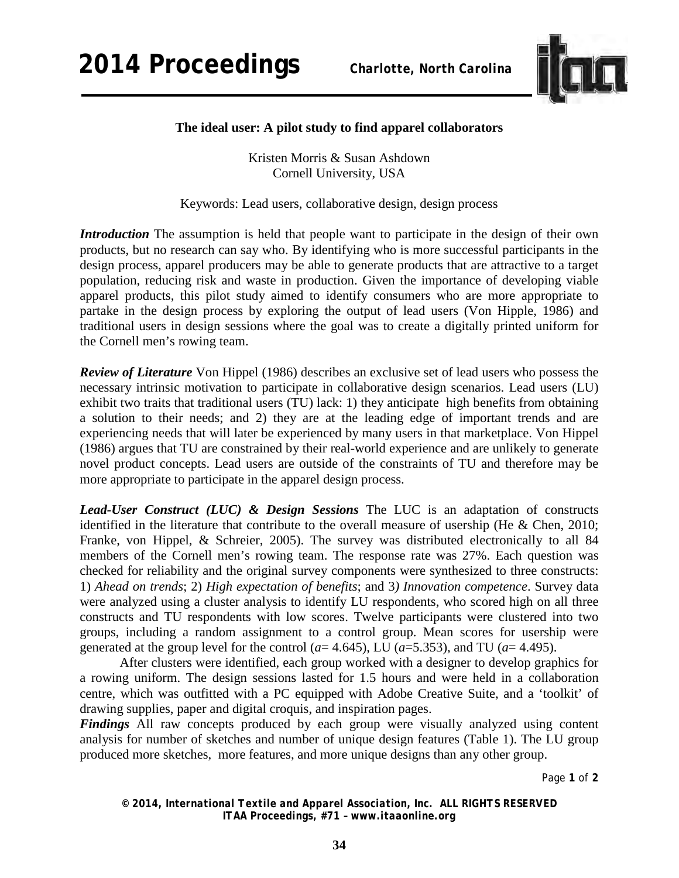

## **The ideal user: A pilot study to find apparel collaborators**

Kristen Morris & Susan Ashdown Cornell University, USA

Keywords: Lead users, collaborative design, design process

*Introduction* The assumption is held that people want to participate in the design of their own products, but no research can say who. By identifying who is more successful participants in the design process, apparel producers may be able to generate products that are attractive to a target population, reducing risk and waste in production. Given the importance of developing viable apparel products, this pilot study aimed to identify consumers who are more appropriate to partake in the design process by exploring the output of lead users (Von Hipple, 1986) and traditional users in design sessions where the goal was to create a digitally printed uniform for the Cornell men's rowing team.

*Review of Literature* Von Hippel (1986) describes an exclusive set of lead users who possess the necessary intrinsic motivation to participate in collaborative design scenarios. Lead users (LU) exhibit two traits that traditional users (TU) lack: 1) they anticipate high benefits from obtaining a solution to their needs; and 2) they are at the leading edge of important trends and are experiencing needs that will later be experienced by many users in that marketplace. Von Hippel (1986) argues that TU are constrained by their real-world experience and are unlikely to generate novel product concepts. Lead users are outside of the constraints of TU and therefore may be more appropriate to participate in the apparel design process.

*Lead-User Construct (LUC) & Design Sessions* The LUC is an adaptation of constructs identified in the literature that contribute to the overall measure of usership (He & Chen, 2010; Franke, von Hippel, & Schreier, 2005). The survey was distributed electronically to all 84 members of the Cornell men's rowing team. The response rate was 27%. Each question was checked for reliability and the original survey components were synthesized to three constructs: 1) *Ahead on trends*; 2) *High expectation of benefits*; and 3*) Innovation competence*. Survey data were analyzed using a cluster analysis to identify LU respondents, who scored high on all three constructs and TU respondents with low scores. Twelve participants were clustered into two groups, including a random assignment to a control group. Mean scores for usership were generated at the group level for the control ( $a=4.645$ ), LU ( $a=5.353$ ), and TU ( $a=4.495$ ).

After clusters were identified, each group worked with a designer to develop graphics for a rowing uniform. The design sessions lasted for 1.5 hours and were held in a collaboration centre, which was outfitted with a PC equipped with Adobe Creative Suite, and a 'toolkit' of drawing supplies, paper and digital croquis, and inspiration pages.

*Findings* All raw concepts produced by each group were visually analyzed using content analysis for number of sketches and number of unique design features (Table 1). The LU group produced more sketches, more features, and more unique designs than any other group.

Page **1** of **2** 

*© 2014, International Textile and Apparel Association, Inc. ALL RIGHTS RESERVED ITAA Proceedings, #71 – www.itaaonline.org*